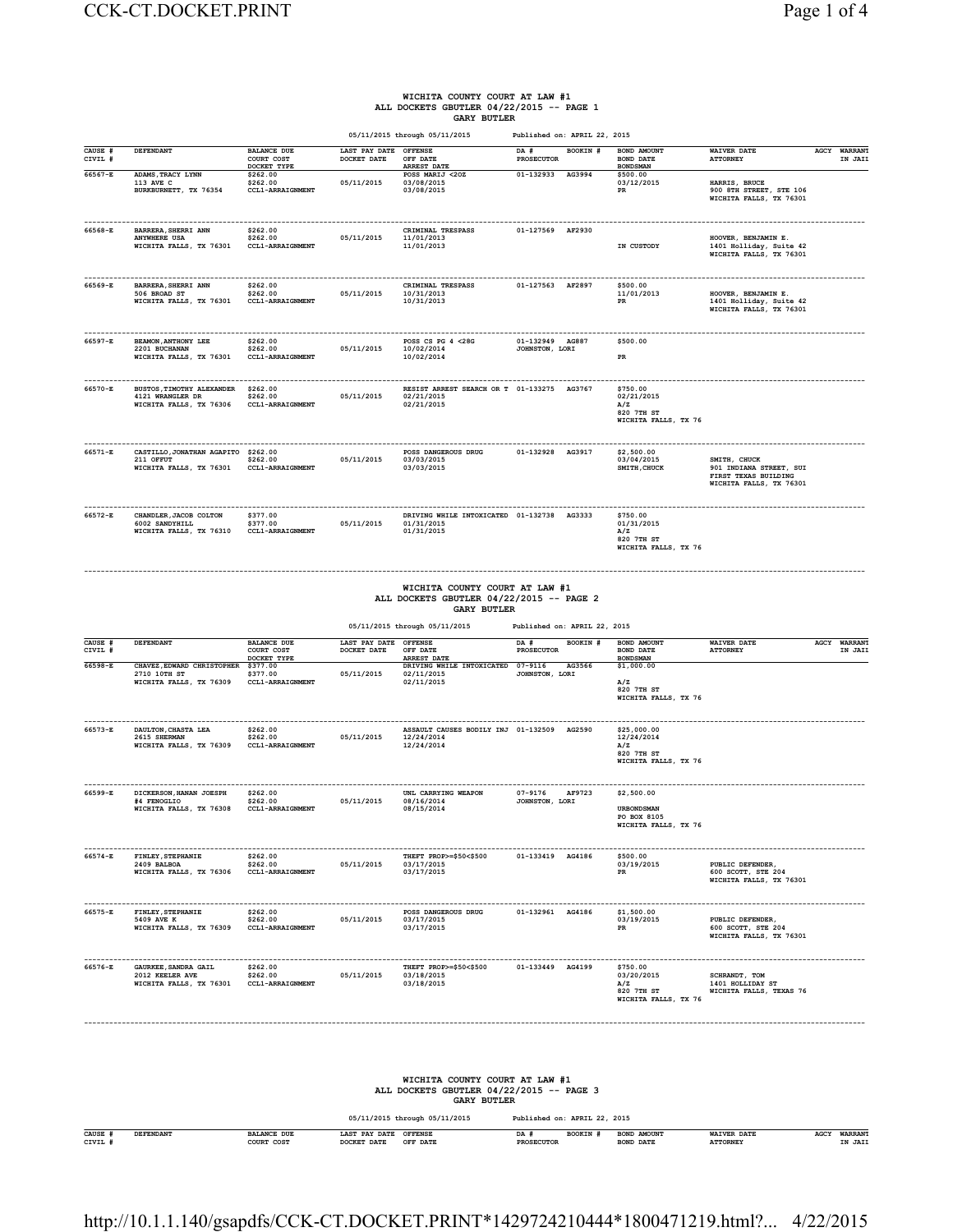#### **WICHITA COUNTY COURT AT LAW #1 ALL DOCKETS GBUTLER 04/22/2015 -- PAGE 1 GARY BUTLER**

| DEFENDANT                                                                                | BALANCE DUE<br>COURT COST                       | DOCKET DATE                                                                                                                                                                                                              | <b>OFFENSE</b><br>OFF DATE                                         | DA #<br>PROSECUTOR                                                                                                                                   | BOOKIN #                                        | BOND AMOUNT<br>BOND DATE                                                                                                                                                                                                                                                                                                                                                                                                              | <b>WAIVER DATE</b><br><b>ATTORNEY</b>                                                               | AGCY WARRANT<br>IN JAII |
|------------------------------------------------------------------------------------------|-------------------------------------------------|--------------------------------------------------------------------------------------------------------------------------------------------------------------------------------------------------------------------------|--------------------------------------------------------------------|------------------------------------------------------------------------------------------------------------------------------------------------------|-------------------------------------------------|---------------------------------------------------------------------------------------------------------------------------------------------------------------------------------------------------------------------------------------------------------------------------------------------------------------------------------------------------------------------------------------------------------------------------------------|-----------------------------------------------------------------------------------------------------|-------------------------|
| ADAMS, TRACY LYNN<br>113 AVE C<br>BURKBURNETT, TX 76354                                  | \$262.00<br>\$262.00<br>CCL1-ARRAIGNMENT        | 05/11/2015                                                                                                                                                                                                               | POSS MARIJ <20Z<br>03/08/2015<br>03/08/2015                        | 01-132933                                                                                                                                            | AG3994                                          | \$500.00<br>03/12/2015<br>PR                                                                                                                                                                                                                                                                                                                                                                                                          | HARRIS, BRUCE<br>900 8TH STREET, STE 106<br>WICHITA FALLS, TX 76301                                 |                         |
| BARRERA, SHERRI ANN<br>ANYWHERE USA<br>WICHITA FALLS, TX 76301                           | \$262.00<br>\$262.00<br>CCL1-ARRAIGNMENT        | 05/11/2015                                                                                                                                                                                                               | CRIMINAL TRESPASS<br>11/01/2013<br>11/01/2013                      |                                                                                                                                                      |                                                 | IN CUSTODY                                                                                                                                                                                                                                                                                                                                                                                                                            | HOOVER, BENJAMIN E.<br>1401 Holliday, Suite 42<br>WICHITA FALLS, TX 76301                           |                         |
| BARRERA, SHERRI ANN<br>506 BROAD ST<br>WICHITA FALLS, TX 76301                           | \$262.00<br>\$262.00<br>CCL1-ARRAIGNMENT        | 05/11/2015                                                                                                                                                                                                               | CRIMINAL TRESPASS<br>10/31/2013<br>10/31/2013                      |                                                                                                                                                      |                                                 | \$500.00<br>11/01/2013<br>$\mathtt{PR}$                                                                                                                                                                                                                                                                                                                                                                                               | HOOVER, BENJAMIN E.<br>1401 Holliday, Suite 42<br>WICHITA FALLS, TX 76301                           |                         |
| ---------------------<br>BEAMON, ANTHONY LEE<br>2201 BUCHANAN<br>WICHITA FALLS, TX 76301 | .<br>\$262.00<br>\$262.00<br>CCL1-ARRAIGNMENT   | 05/11/2015                                                                                                                                                                                                               | -----------------<br>POSS CS PG 4 <28G<br>10/02/2014<br>10/02/2014 |                                                                                                                                                      |                                                 | \$500.00<br>PR                                                                                                                                                                                                                                                                                                                                                                                                                        |                                                                                                     |                         |
| BUSTOS, TIMOTHY ALEXANDER<br>4121 WRANGLER DR<br>WICHITA FALLS, TX 76306                 | \$262.00<br>\$262.00<br><b>CCL1-ARRAIGNMENT</b> | 05/11/2015                                                                                                                                                                                                               | 02/21/2015<br>02/21/2015                                           |                                                                                                                                                      | AG3767                                          | \$750.00<br>02/21/2015<br>A/Z<br>820 7TH ST<br>WICHITA FALLS, TX 76                                                                                                                                                                                                                                                                                                                                                                   |                                                                                                     |                         |
| 211 OFFUT<br>WICHITA FALLS, TX 76301                                                     | \$262.00<br>CCL1-ARRAIGNMENT                    | 05/11/2015                                                                                                                                                                                                               | POSS DANGEROUS DRUG<br>03/03/2015<br>03/03/2015                    |                                                                                                                                                      |                                                 | \$2,500.00<br>03/04/2015<br>SMITH, CHUCK                                                                                                                                                                                                                                                                                                                                                                                              | SMITH, CHUCK<br>901 INDIANA STREET, SUI<br>FIRST TEXAS BUILDING<br>WICHITA FALLS, TX 76301          |                         |
| CHANDLER, JACOB COLTON<br>6002 SANDYHILL<br>WICHITA FALLS, TX 76310                      | \$377.00<br>\$377.00<br><b>CCL1-ARRAIGNMENT</b> | 05/11/2015                                                                                                                                                                                                               | 01/31/2015<br>01/31/2015                                           |                                                                                                                                                      |                                                 | \$750.00<br>01/31/2015<br>A/Z<br>820 7TH ST<br>WICHITA FALLS, TX 76                                                                                                                                                                                                                                                                                                                                                                   |                                                                                                     |                         |
|                                                                                          |                                                 |                                                                                                                                                                                                                          |                                                                    |                                                                                                                                                      |                                                 |                                                                                                                                                                                                                                                                                                                                                                                                                                       |                                                                                                     |                         |
| DEFENDANT                                                                                | <b>BALANCE DUE</b><br>COURT COST                | DOCKET DATE                                                                                                                                                                                                              | OFF DATE                                                           | DA #<br>PROSECUTOR                                                                                                                                   | BOOKIN #                                        | BOND AMOUNT<br>BOND DATE                                                                                                                                                                                                                                                                                                                                                                                                              | <b>WAIVER DATE</b><br><b>ATTORNEY</b>                                                               | AGCY WARRANT<br>IN JAII |
| 2710 10TH ST<br>WICHITA FALLS, TX 76309                                                  | \$377.00<br>\$377.00<br>CCL1-ARRAIGNMENT        | 05/11/2015                                                                                                                                                                                                               | 02/11/2015<br>02/11/2015                                           | $07 - 9116$                                                                                                                                          | AG3566                                          | \$1,000.00<br>A/Z<br>820 7TH ST<br>WICHITA FALLS, TX 76                                                                                                                                                                                                                                                                                                                                                                               |                                                                                                     |                         |
| DAULTON CHASTA LEA<br>2615 SHERMAN<br>WICHITA FALLS, TX 76309                            | \$262.00<br>\$262.00<br>CCL1-ARRAIGNMENT        | 05/11/2015                                                                                                                                                                                                               | 12/24/2014<br>12/24/2014                                           |                                                                                                                                                      |                                                 | \$25,000.00<br>12/24/2014<br>A/Z<br>820 7TH ST<br>WICHITA FALLS, TX 76                                                                                                                                                                                                                                                                                                                                                                |                                                                                                     |                         |
| DICKERSON, HANAN JOESPH<br>#4 FENOGLIO<br>WICHITA FALLS, TX 76308                        | \$262.00<br>\$262.00<br>CCL1-ARRAIGNMENT        | 05/11/2015                                                                                                                                                                                                               | UNL CARRYING WEAPON<br>08/16/2014<br>08/15/2014                    | 07-9176                                                                                                                                              | AF9723                                          | \$2,500.00<br><b>URBONDSMAN</b><br>PO BOX 8105<br>WICHITA FALLS, TX 76                                                                                                                                                                                                                                                                                                                                                                |                                                                                                     |                         |
| <b>FINLEY, STEPHANIE</b><br>2409 BALBOA                                                  | \$262.00                                        | 05/11/2015                                                                                                                                                                                                               | 03/17/2015<br>03/17/2015                                           |                                                                                                                                                      |                                                 | \$500.00<br>03/19/2015<br>PR                                                                                                                                                                                                                                                                                                                                                                                                          | PUBLIC DEFENDER.<br>600 SCOTT, STE 204<br>WICHITA FALLS, TX 76301                                   |                         |
| 5409 AVE K                                                                               | \$262.00<br>\$262.00                            | 05/11/2015                                                                                                                                                                                                               | 03/17/2015<br>03/17/2015                                           |                                                                                                                                                      |                                                 | \$1,500.00<br>03/19/2015<br>PR                                                                                                                                                                                                                                                                                                                                                                                                        | PUBLIC DEFENDER,<br>600 SCOTT, STE 204<br>WICHITA FALLS, TX 76301                                   |                         |
|                                                                                          |                                                 |                                                                                                                                                                                                                          |                                                                    |                                                                                                                                                      |                                                 |                                                                                                                                                                                                                                                                                                                                                                                                                                       |                                                                                                     |                         |
|                                                                                          |                                                 | DOCKET TYPE<br>CASTILLO, JONATHAN AGAPITO \$262.00<br>DOCKET TYPE<br>CHAVEZ, EDWARD CHRISTOPHER<br>\$262.00<br>WICHITA FALLS, TX 76306 CCL1-ARRAIGNMENT<br>FINLEY, STEPHANIE<br>WICHITA FALLS, TX 76309 CCL1-ARRAIGNMENT |                                                                    | 05/11/2015 through 05/11/2015<br>LAST PAY DATE<br><b>ARREST DATE</b><br>05/11/2015 through 05/11/2015<br>LAST PAY DATE OFFENSE<br><b>ARREST DATE</b> | <b>GARY BUTLER</b><br>DRIVING WHILE INTOXICATED | 01-127569 AF2930<br>01-127563 AF2897<br>01-132949 AG887<br>JOHNSTON, LORI<br>RESIST ARREST SEARCH OR T 01-133275<br>01-132928 AG3917<br>DRIVING WHILE INTOXICATED 01-132738 AG3333<br>WICHITA COUNTY COURT AT LAW #1<br>ALL DOCKETS GBUTLER 04/22/2015 -- PAGE 2<br>JOHNSTON, LORI<br>ASSAULT CAUSES BODILY INJ 01-132509 AG2590<br>JOHNSTON, LORI<br>THEFT PROP>=\$50<\$500 01-133419 AG4186<br>POSS DANGEROUS DRUG 01-132961 AG4186 | Published on: APRIL 22, 2015<br><b>BONDSMAN</b><br>Published on: APRIL 22, 2015<br><b>BOND SMAN</b> |                         |

 **WICHITA COUNTY COURT AT LAW #1 ALL DOCKETS GBUTLER 04/22/2015 -- PAGE 3 GARY BUTLER**

 **05/11/2015 through 05/11/2015 Published on: APRIL 22, 2015 CAUSE # DEFENDANT BALANCE DUE LAST PAY DATE OFFENSE DA # BOOKIN # BOND AMOUNT WAIVER DATE AGCY WARRANT CIVIL # COURT COST DOCKET DATE OFF DATE PROSECUTOR BOND DATE ATTORNEY IN JAIL**

### http://10.1.1.140/gsapdfs/CCK-CT.DOCKET.PRINT\*1429724210444\*1800471219.html?... 4/22/2015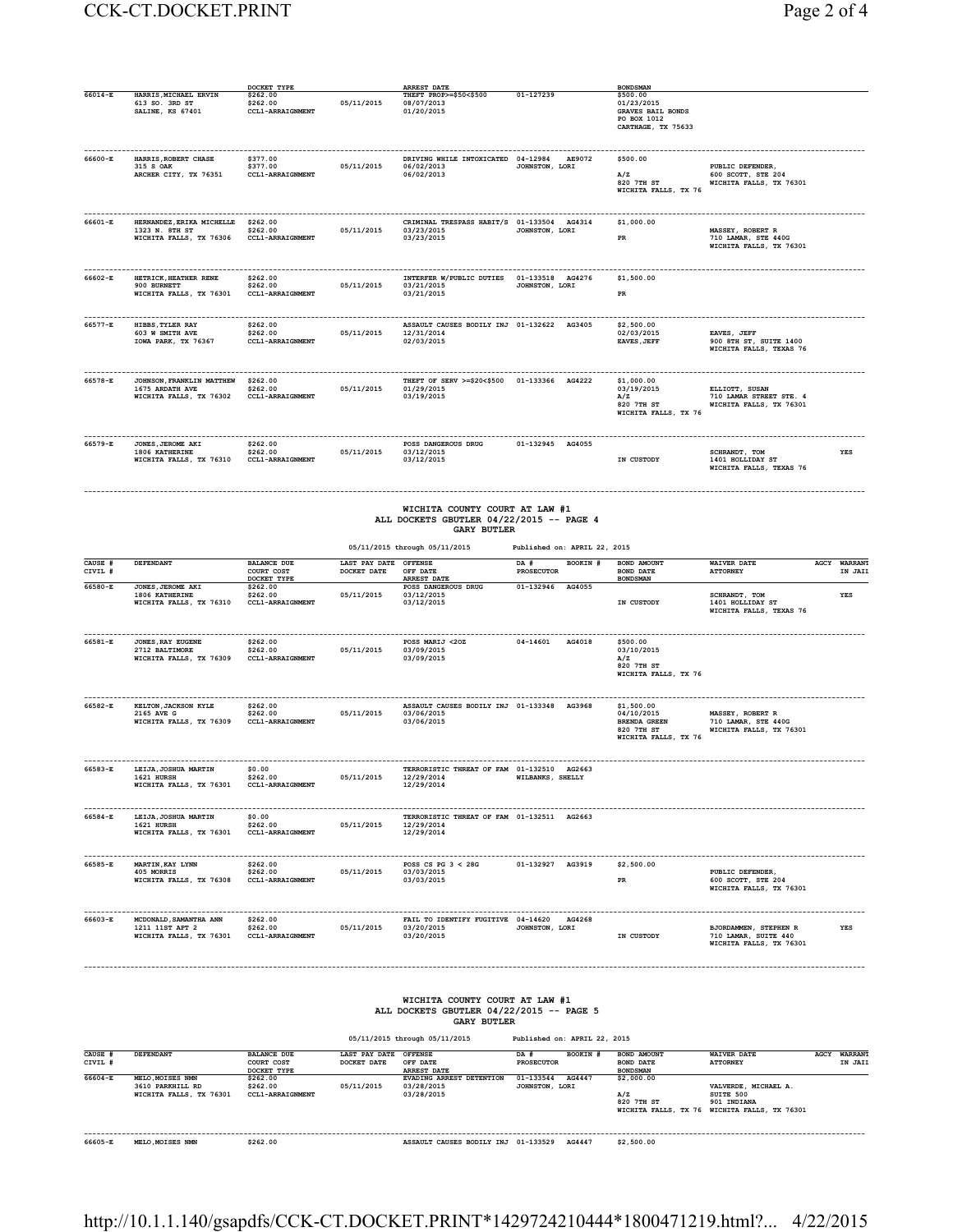#### CCK-CT.DOCKET.PRINT Page 2 of 4

| 66014-E            | HARRIS, MICHAEL ERVIN<br>613 SO. 3RD ST<br>SALINE, KS 67401                    | DOCKET TYPE<br>\$262.00<br>\$262.00<br>CCL1-ARRAIGNMENT | 05/11/2015                           | <b>ARREST DATE</b><br>THEFT PROP>=\$50<\$500<br>08/07/2013<br>01/20/2015                         | 01-127239                                        | <b>BONDSMAN</b><br>\$500.00<br>01/23/2015<br>GRAVES BAIL BONDS<br>PO BOX 1012<br>CARTHAGE, TX 75633 |                                                                                                  |                                |
|--------------------|--------------------------------------------------------------------------------|---------------------------------------------------------|--------------------------------------|--------------------------------------------------------------------------------------------------|--------------------------------------------------|-----------------------------------------------------------------------------------------------------|--------------------------------------------------------------------------------------------------|--------------------------------|
| 66600-E            | HARRIS ROBERT CHASE<br>315 S OAK<br>ARCHER CITY, TX 76351                      | \$377.00<br>\$377.00<br>CCL1-ARRAIGNMENT                | 05/11/2015                           | DRIVING WHILE INTOXICATED 04-12984 AE9072<br>06/02/2013<br>06/02/2013                            | JOHNSTON, LORI                                   | \$500.00<br>A/Z<br>820 7TH ST<br>WICHITA FALLS, TX 76                                               | PUBLIC DEFENDER<br>600 SCOTT, STE 204<br>WICHITA FALLS, TX 76301                                 |                                |
| 66601-E            | HERNANDEZ, ERIKA MICHELLE<br>1323 N. 8TH ST<br>WICHITA FALLS, TX 76306         | \$262.00<br>\$262.00<br>CCL1-ARRAIGNMENT                | 05/11/2015                           | CRIMINAL TRESPASS HABIT/S 01-133504 AG4314<br>03/23/2015<br>03/23/2015                           | JOHNSTON, LORI                                   | \$1,000.00<br>PR                                                                                    | MASSEY, ROBERT R<br>710 LAMAR, STE 440G<br>WICHITA FALLS, TX 76301                               |                                |
| 66602-E            | HETRICK, HEATHER RENE<br>900 BURNETT<br>WICHITA FALLS, TX 76301                | \$262.00<br>\$262.00<br>CCL1-ARRAIGNMENT                | 05/11/2015                           | INTERFER W/PUBLIC DUTIES<br>03/21/2015<br>03/21/2015                                             | 01-133518 AG4276<br>JOHNSTON, LORI               | \$1,500.00<br>PR                                                                                    |                                                                                                  |                                |
| 66577-E            | HIBBS, TYLER RAY<br>603 W SMITH AVE<br>IOWA PARK, TX 76367                     | \$262.00<br>\$262.00<br>CCL1-ARRAIGNMENT                | 05/11/2015                           | ASSAULT CAUSES BODILY INJ 01-132622 AG3405<br>12/31/2014<br>02/03/2015                           |                                                  | \$2,500.00<br>02/03/2015<br>EAVES, JEFF                                                             | EAVES, JEFF<br>900 8TH ST, SUITE 1400<br>WICHITA FALLS, TEXAS 76                                 |                                |
| 66578-R            | JOHNSON, FRANKLIN MATTHEW<br>1675 ARDATH AVE<br>WICHITA FALLS, TX 76302        | \$262.00<br>\$262.00<br>CCL1-ARRAIGNMENT                | 05/11/2015                           | THEFT OF SERV >=\$20<\$500 01-133366 AG4222<br>01/29/2015<br>03/19/2015                          |                                                  | \$1,000.00<br>03/19/2015<br>A/Z<br>820 7TH ST<br>WICHITA FALLS, TX 76                               | ELLIOTT, SUSAN<br>710 LAMAR STREET STE. 4<br>WICHITA FALLS, TX 76301                             |                                |
| 66579-E            | JONES, JEROME AKI<br>1806 KATHERINE<br>WICHITA FALLS, TX 76310                 | \$262.00<br>\$262.00<br>CCL1-ARRAIGNMENT                | 05/11/2015                           | POSS DANGEROUS DRUG<br>03/12/2015<br>03/12/2015                                                  | 01-132945 AG4055                                 | IN CUSTODY                                                                                          | SCHRANDT, TOM<br>1401 HOLLIDAY ST<br>WICHITA FALLS, TEXAS 76                                     | YES                            |
|                    |                                                                                |                                                         |                                      | WICHITA COUNTY COURT AT LAW #1<br>ALL DOCKETS GBUTLER 04/22/2015 -- PAGE 4<br><b>GARY BUTLER</b> |                                                  |                                                                                                     |                                                                                                  |                                |
| CAUSE #            | DEFENDANT                                                                      | <b>BALANCE DUE</b>                                      | LAST PAY DATE OFFENSE                | 05/11/2015 through 05/11/2015                                                                    | Published on: APRIL 22, 2015<br>BOOKIN #<br>DA # | BOND AMOUNT                                                                                         | <b>WAIVER DATE</b>                                                                               | AGCY WARRANT                   |
| CIVIL #<br>66580-E | JONES, JEROME AKI                                                              | COURT COST<br>DOCKET TYPE<br>\$262.00                   | DOCKET DATE                          | OFF DATE<br><b>ARREST DATE</b><br>POSS DANGEROUS DRUG                                            | PROSECUTOR<br>01-132946<br>AG4055                | BOND DATE<br><b>BONDSMAN</b>                                                                        | <b>ATTORNEY</b>                                                                                  | IN JAII                        |
|                    | 1806 KATHERINE<br>WICHITA FALLS, TX 76310                                      | \$262.00<br>CCL1-ARRAIGNMENT                            | 05/11/2015                           | 03/12/2015<br>03/12/2015                                                                         |                                                  | IN CUSTODY                                                                                          | SCHRANDT, TOM<br>1401 HOLLIDAY ST<br>WICHITA FALLS, TEXAS 76                                     | YES                            |
| 66581-E            | JONES, RAY EUGENE<br>2712 BALTIMORE<br>WICHITA FALLS, TX 76309                 | \$262.00<br>\$262.00<br>CCL1-ARRAIGNMENT                | 05/11/2015                           | POSS MARIJ <20Z<br>03/09/2015<br>03/09/2015                                                      | 04-14601 AG4018                                  | \$500.00<br>03/10/2015<br>A/Z<br>820 7TH ST<br>WICHITA FALLS, TX 76                                 |                                                                                                  |                                |
| 66582-E            | KELTON, JACKSON KYLE<br>2165 AVE G<br>WICHITA FALLS, TX 76309                  | \$262.00<br>\$262.00<br><b>CCL1-ARRAIGNMENT</b>         | 05/11/2015                           | ASSAULT CAUSES BODILY INJ 01-133348 AG3968<br>03/06/2015<br>03/06/2015                           |                                                  | \$1,500.00<br>04/10/2015<br><b>BRENDA GREEN</b><br>820 7TH ST<br>WICHITA FALLS, TX 76               | MASSEY, ROBERT R<br>710 LAMAR, STE 440G<br>WICHITA FALLS, TX 76301                               |                                |
| 66583-E            | <br>LEIJA, JOSHUA MARTIN<br>1621 HURSH<br>WICHITA FALLS, TX 76301              | \$0.00<br>\$262.00<br>CCL1-ARRAIGNMENT                  | 05/11/2015                           | TERRORISTIC THREAT OF FAM 01-132510<br>12/29/2014<br>12/29/2014                                  | AG2663<br>WILBANKS, SHELLY                       |                                                                                                     |                                                                                                  |                                |
| 66584-R            | LEIJA, JOSHUA MARTIN<br>1621 HURSH<br>WICHITA FALLS, TX 76301 CCL1-ARRAIGNMENT | \$0.00<br>\$262.00                                      | 05/11/2015                           | TERRORISTIC THREAT OF FAM 01-132511 AG2663<br>12/29/2014<br>12/29/2014                           |                                                  |                                                                                                     |                                                                                                  |                                |
| 66585-E            | MARTIN, KAY LYNN<br>405 MORRIS<br>WICHITA FALLS, TX 76308 CCL1-ARRAIGNMENT     | \$262.00<br>\$262.00                                    | 05/11/2015                           | POSS CS PG $3 < 28$ G<br>03/03/2015<br>03/03/2015                                                | 01-132927 AG3919                                 | \$2,500.00<br>PR                                                                                    | PUBLIC DEFENDER.<br>600 SCOTT, STE 204<br>WICHITA FALLS, TX 76301                                |                                |
| 66603-E            | MCDONALD, SAMANTHA ANN<br>1211 11ST APT 2<br>WICHITA FALLS, TX 76301           | \$262.00<br>\$262.00<br>CCL1-ARRAIGNMENT                | 05/11/2015                           | FAIL TO IDENTIFY FUGITIVE 04-14620 AG4268<br>03/20/2015<br>03/20/2015                            | JOHNSTON, LORI                                   | <b>IN CUSTODY</b>                                                                                   | BJORDAMMEN, STEPHEN R<br>710 LAMAR, SUITE 440<br>WICHITA FALLS, TX 76301                         | <b>YES</b>                     |
|                    |                                                                                |                                                         |                                      | WICHITA COUNTY COURT AT LAW #1<br>ALL DOCKETS GBUTLER 04/22/2015 -- PAGE 5<br><b>GARY BUTLER</b> |                                                  |                                                                                                     |                                                                                                  |                                |
|                    |                                                                                |                                                         |                                      | 05/11/2015 through 05/11/2015                                                                    | Published on: APRIL 22, 2015                     |                                                                                                     |                                                                                                  |                                |
| CAUSE #<br>CIVIL # | <b>DEFENDANT</b>                                                               | <b>BALANCE DUE</b><br>COURT COST<br>DOCKET TYPE         | LAST PAY DATE OFFENSE<br>DOCKET DATE | OFF DATE<br><b>ARREST DATE</b>                                                                   | BOOKIN #<br>DA #<br>PROSECUTOR                   | BOND AMOUNT<br>BOND DATE<br><b>BOND SMAN</b>                                                        | <b>WAIVER DATE</b><br><b>ATTORNEY</b>                                                            | <b>AGCY WARRANT</b><br>IN JAII |
| $66604 - E$        | MELO.MOISES NMN<br>3610 PARKHILL RD<br>WICHITA FALLS, TX 76301                 | \$262.00<br>\$262.00<br>CCL1-ARRAIGNMENT                | 05/11/2015                           | EVADING ARREST DETENTION<br>03/28/2015<br>03/28/2015                                             | 01-133544 AG4447<br>JOHNSTON, LORI               | \$2,000.00<br>A/Z<br>820 7TH ST                                                                     | VALVERDE, MICHAEL A.<br>SUITE 500<br>901 INDIANA<br>WICHITA FALLS, TX 76 WICHITA FALLS, TX 76301 |                                |
| 66605-E            | MELO, MOISES NMN                                                               | \$262.00                                                |                                      | ASSAULT CAUSES BODILY INJ 01-133529 AG4447                                                       |                                                  | \$2,500.00                                                                                          |                                                                                                  |                                |

http://10.1.1.140/gsapdfs/CCK-CT.DOCKET.PRINT\*1429724210444\*1800471219.html?... 4/22/2015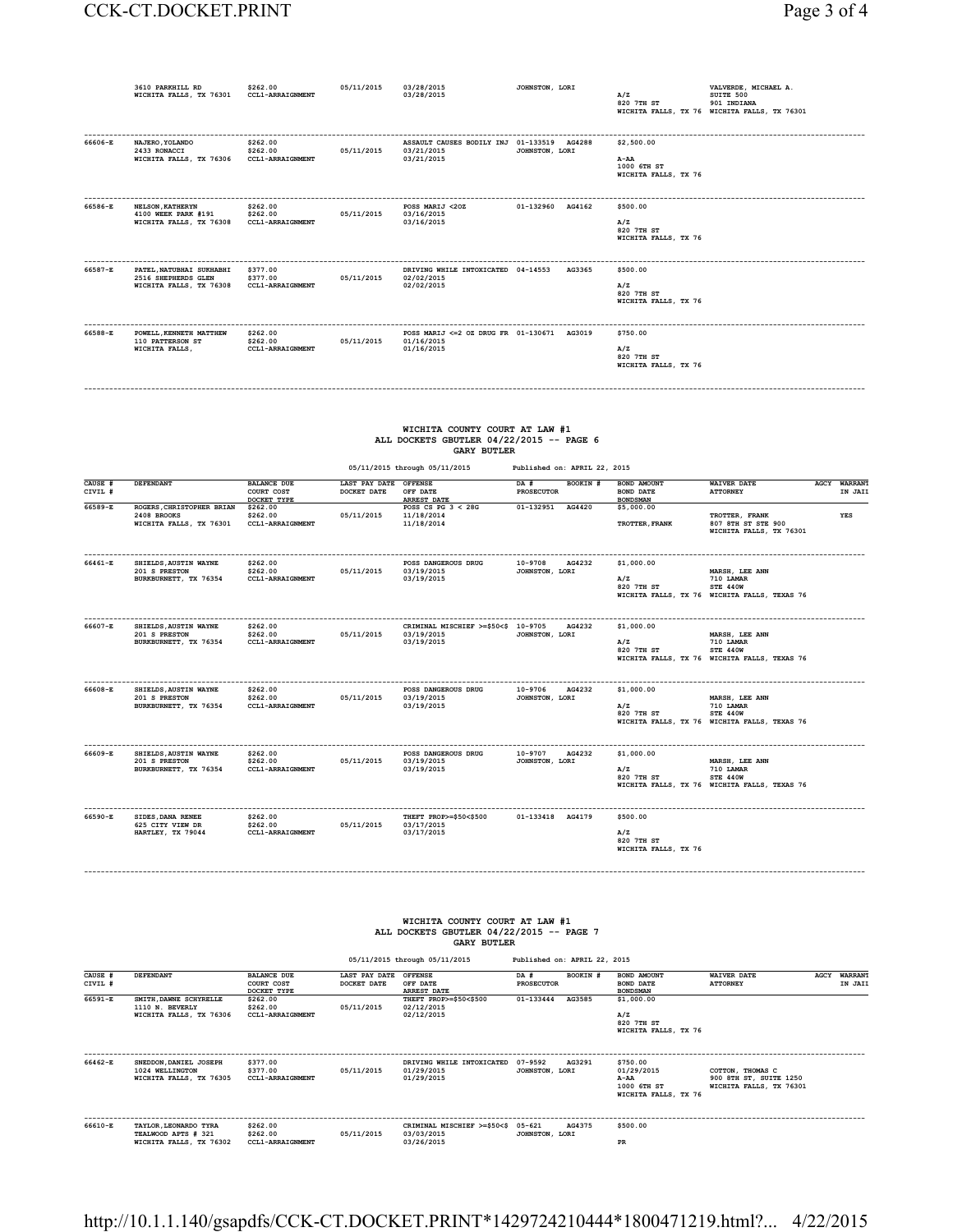|         | 3610 PARKHILL RD<br>WICHITA FALLS, TX 76301                               | \$262.00<br><b>CCL1-ARRAIGNMENT</b>             | 05/11/2015 | 03/28/2015<br>03/28/2015                                                | JOHNSTON, LORI   |        | A/Z<br>820 7TH ST                                             | VALVERDE, MICHAEL A.<br>SUITE 500<br>901 INDIANA<br>WICHITA FALLS, TX 76 WICHITA FALLS, TX 76301 |
|---------|---------------------------------------------------------------------------|-------------------------------------------------|------------|-------------------------------------------------------------------------|------------------|--------|---------------------------------------------------------------|--------------------------------------------------------------------------------------------------|
| 66606-E | NAJERO, YOLANDO<br>2433 RONACCI<br>WICHITA FALLS, TX 76306                | \$262.00<br>\$262.00<br><b>CCL1-ARRAIGNMENT</b> | 05/11/2015 | ASSAULT CAUSES BODILY INJ 01-133519 AG4288<br>03/21/2015<br>03/21/2015  | JOHNSTON, LORI   |        | \$2,500.00<br>$A - AA$<br>1000 6TH ST<br>WICHITA FALLS, TX 76 |                                                                                                  |
| 66586-E | <b>NELSON, KATHERYN</b><br>4100 WEEK PARK #191<br>WICHITA FALLS, TX 76308 | \$262.00<br>\$262.00<br><b>CCL1-ARRAIGNMENT</b> | 05/11/2015 | POSS MARIJ <20Z<br>03/16/2015<br>03/16/2015                             | 01-132960 AG4162 |        | \$500.00<br>A/Z<br>820 7TH ST<br>WICHITA FALLS, TX 76         |                                                                                                  |
| 66587-E | PATEL NATUBHAI SUKHABHI<br>2516 SHEPHERDS GLEN<br>WICHITA FALLS, TX 76308 | \$377.00<br>\$377.00<br>CCL1-ARRAIGNMENT        | 05/11/2015 | DRIVING WHILE INTOXICATED 04-14553<br>02/02/2015<br>02/02/2015          |                  | AG3365 | \$500.00<br>A/Z<br>820 7TH ST<br>WICHITA FALLS, TX 76         |                                                                                                  |
| 66588-E | POWELL, KENNETH MATTHEW<br>110 PATTERSON ST<br>WICHITA FALLS,             | \$262.00<br>\$262.00<br>CCL1-ARRAIGNMENT        | 05/11/2015 | POSS MARIJ <= 2 OZ DRUG FR 01-130671 AG3019<br>01/16/2015<br>01/16/2015 |                  |        | \$750.00<br>A/Z<br>820 7TH ST<br>WICHITA FALLS, TX 76         |                                                                                                  |

#### **WICHITA COUNTY COURT AT LAW #1 ALL DOCKETS GBUTLER 04/22/2015 -- PAGE 6 GARY BUTLER**<br>
05/11/2015 Published on: APRIL 22, 2015

 **05/11/2015 through 05/11/2015 Published on: APRIL 22, 2015**

|                    |                                                                                                      |                                                 |                                      | 05/11/2015 through 05/11/2015                                   | Published on: APRIL 22, 2015 |          |                                                       |                                                                                         |                                |
|--------------------|------------------------------------------------------------------------------------------------------|-------------------------------------------------|--------------------------------------|-----------------------------------------------------------------|------------------------------|----------|-------------------------------------------------------|-----------------------------------------------------------------------------------------|--------------------------------|
| CAUSE #<br>CIVIL # | <b>DEFENDANT</b>                                                                                     | <b>BALANCE DUE</b><br>COURT COST<br>DOCKET TYPE | LAST PAY DATE OFFENSE<br>DOCKET DATE | OFF DATE<br><b>ARREST DATE</b>                                  | DA #<br><b>PROSECUTOR</b>    | BOOKIN # | BOND AMOUNT<br><b>BOND DATE</b><br><b>BONDSMAN</b>    | <b>WAIVER DATE</b><br><b>ATTORNEY</b>                                                   | <b>AGCY WARRANT</b><br>IN JAIL |
| 66589-E            | ROGERS, CHRISTOPHER BRIAN<br>2408 BROOKS<br>WICHITA FALLS, TX 76301                                  | \$262.00<br>\$262.00<br>CCL1-ARRAIGNMENT        | 05/11/2015                           | POSS CS PG 3 < 28G<br>11/18/2014<br>11/18/2014                  | 01-132951                    | AG4420   | \$5,000.00<br>TROTTER, FRANK                          | TROTTER, FRANK<br>807 8TH ST STE 900<br>WICHITA FALLS, TX 76301                         | <b>YES</b>                     |
| 66461-E            | SHIELDS, AUSTIN WAYNE<br>201 S PRESTON<br>BURKBURNETT, TX 76354                                      | \$262.00<br>\$262.00<br><b>CCL1-ARRAIGNMENT</b> | 05/11/2015                           | POSS DANGEROUS DRUG<br>03/19/2015<br>03/19/2015                 | 10-9708<br>JOHNSTON, LORI    | AG4232   | \$1,000.00<br>A/Z<br>820 7TH ST                       | MARSH, LEE ANN<br>710 LAMAR<br>STE 440W<br>WICHITA FALLS, TX 76 WICHITA FALLS, TEXAS 76 |                                |
| 66607-E            | SHIELDS, AUSTIN WAYNE<br>201 S PRESTON<br>BURKBURNETT, TX 76354                                      | \$262.00<br>\$262.00<br><b>CCL1-ARRAIGNMENT</b> | 05/11/2015                           | CRIMINAL MISCHIEF >=\$50<\$ 10-9705<br>03/19/2015<br>03/19/2015 | JOHNSTON, LORI               | AG4232   | \$1,000.00<br>A/Z<br>820 7TH ST                       | MARSH, LEE ANN<br>710 LAMAR<br>STE 440W<br>WICHITA FALLS, TX 76 WICHITA FALLS, TEXAS 76 |                                |
| 66608-E            | SHIELDS. AUSTIN WAYNE<br>201 S PRESTON<br>BURKBURNETT, TX 76354                                      | \$262.00<br>\$262.00<br><b>CCL1-ARRAIGNMENT</b> | 05/11/2015                           | POSS DANGEROUS DRUG<br>03/19/2015<br>03/19/2015                 | 10-9706<br>JOHNSTON, LORI    | AG4232   | \$1,000.00<br>A/Z<br>820 7TH ST                       | MARSH, LEE ANN<br>710 LAMAR<br>STE 440W<br>WICHITA FALLS, TX 76 WICHITA FALLS, TEXAS 76 |                                |
| 66609-E            | SHIELDS, AUSTIN WAYNE<br>201 S PRESTON<br>BURKBURNETT, TX 76354                                      | \$262.00<br>\$262.00<br><b>CCL1-ARRAIGNMENT</b> | 05/11/2015                           | POSS DANGEROUS DRUG<br>03/19/2015<br>03/19/2015                 | 10-9707<br>JOHNSTON, LORI    | AG4232   | \$1,000.00<br>A/Z<br>820 7TH ST                       | MARSH, LEE ANN<br>710 LAMAR<br>STE 440W<br>WICHITA FALLS, TX 76 WICHITA FALLS, TEXAS 76 |                                |
| 66590-E            | --------------------------------------<br>SIDES, DANA RENEE<br>625 CITY VIEW DR<br>HARTLEY, TX 79044 | \$262.00<br>\$262.00<br><b>CCL1-ARRAIGNMENT</b> | 05/11/2015                           | THEFT PROP>=\$50<\$500<br>03/17/2015<br>03/17/2015              | 01-133418 AG4179             |          | \$500.00<br>A/Z<br>820 7TH ST<br>WICHITA FALLS, TX 76 |                                                                                         |                                |

# **WICHITA COUNTY COURT AT LAW #1 ALL DOCKETS GBUTLER 04/22/2015 -- PAGE 7 GARY BUTLER**

**------------------------------------------------------------------------------------------------------------------------------------------------------------------------------------------**

|                    |                                                                         |                                                 | 05/11/2015 through 05/11/2015 |                                                                | Published on: APRIL 22, 2015 |          |                                                                       |                                                                       |      |                           |
|--------------------|-------------------------------------------------------------------------|-------------------------------------------------|-------------------------------|----------------------------------------------------------------|------------------------------|----------|-----------------------------------------------------------------------|-----------------------------------------------------------------------|------|---------------------------|
| CAUSE #<br>CIVIL # | <b>DEFENDANT</b>                                                        | <b>BALANCE DUE</b><br>COURT COST<br>DOCKET TYPE | LAST PAY DATE<br>DOCKET DATE  | <b>OFFENSE</b><br>OFF DATE<br><b>ARREST DATE</b>               | DA #<br><b>PROSECUTOR</b>    | BOOKIN # | BOND AMOUNT<br><b>BOND DATE</b><br><b>BONDSMAN</b>                    | <b>WAIVER DATE</b><br><b>ATTORNEY</b>                                 | AGCY | <b>WARRANT</b><br>IN JAIL |
| 66591-E            | SMITH, DAWNE SCHYRELLE<br>1110 N. BEVERLY<br>WICHITA FALLS, TX 76306    | \$262.00<br>\$262.00<br><b>CCL1-ARRAIGNMENT</b> | 05/11/2015                    | THEFT PROP>=\$50<\$500<br>02/12/2015<br>02/12/2015             | 01-133444                    | AG3585   | \$1,000.00<br>A/Z<br>820 7TH ST<br>WICHITA FALLS, TX 76               |                                                                       |      |                           |
| 66462-E            | SNEDDON, DANIEL JOSEPH<br>1024 WELLINGTON<br>WICHITA FALLS, TX 76305    | \$377.00<br>\$377.00<br><b>CCL1-ARRAIGNMENT</b> | 05/11/2015                    | DRIVING WHILE INTOXICATED<br>01/29/2015<br>01/29/2015          | 07-9592<br>JOHNSTON, LORI    | AG3291   | \$750.00<br>01/29/2015<br>A-AA<br>1000 6TH ST<br>WICHITA FALLS, TX 76 | COTTON, THOMAS C<br>900 8TH ST, SUITE 1250<br>WICHITA FALLS, TX 76301 |      |                           |
| 66610-E            | TAYLOR, LEONARDO TYRA<br>TEALWOOD APTS # 321<br>WICHITA FALLS, TX 76302 | \$262.00<br>\$262.00<br><b>CCL1-ARRAIGNMENT</b> | 05/11/2015                    | CRIMINAL MISCHIEF >=\$50<\$ 05-621<br>03/03/2015<br>03/26/2015 | JOHNSTON, LORI               | AG4375   | \$500.00<br>PR                                                        |                                                                       |      |                           |

http://10.1.1.140/gsapdfs/CCK-CT.DOCKET.PRINT\*1429724210444\*1800471219.html?... 4/22/2015